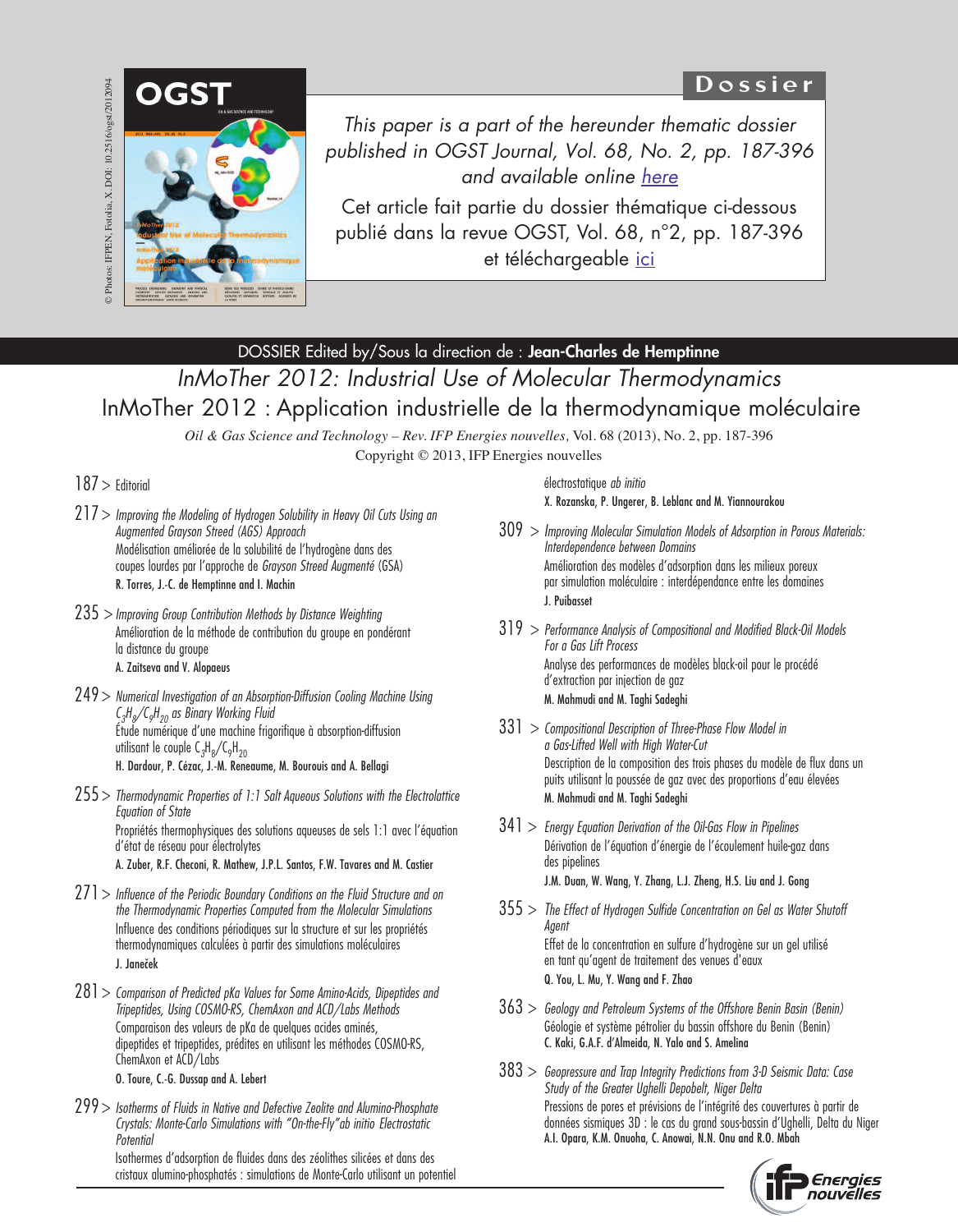# D o s s i e r



*This paper is a part of the hereunder thematic dossier published in OGST Journal, Vol. 68, No. 2, pp. 187-396 and available online [here](http://ogst.ifpenergiesnouvelles.fr/articles/ogst/abs/2013/02/contents/contents.html)*

Cet article fait partie du dossier thématique ci-dessous publié dans la revue OGST, Vol. 68, n°2, pp. 187-396 et téléchargeable [ici](http://ogst.ifpenergiesnouvelles.fr/articles/ogst/abs/2013/02/contents/contents.html)

## DOSSIER Edited by/Sous la direction de : **Jean-Charles de Hemptinne**

*InMoTher 2012: Industrial Use of Molecular Thermodynamics* InMoTher 2012 : Application industrielle de la thermodynamique moléculaire

> *Oil & Gas Science and Technology – Rev. IFP Energies nouvelles,* Vol. 68 (2013), No. 2, pp. 187-396 Copyright © 2013, IFP Energies nouvelles

### $187$  > Editorial

- $217$  > Improving the Modeling of Hydrogen Solubility in Heavy Oil Cuts Using an Augmented Grayson Streed (AGS) Approach Modélisation améliorée de la solubilité de l'hydrogène dans des coupes lourdes par l'approche de Grayson Streed Augmenté (GSA) R. Torres, J.-C. de Hemptinne and I. Machin
- $235$  > Improving Group Contribution Methods by Distance Weighting Amélioration de la méthode de contribution du groupe en pondérant la distance du groupe A. Zaitseva and V. Alopaeus
- $249$  > Numerical Investigation of an Absorption-Diffusion Cooling Machine Using  $\zeta_{3}$ H<sub>8</sub>/C<sub>9</sub>H<sub>20</sub> as Binary Working Fluid Étude numérique d'une machine frigorifique à absorption-diffusion utilisant le couple C $_{3}$ H $_{8}$ /C $_{9}$ H $_{20}$ H. Dardour, P. Cézac, J.-M. Reneaume, M. Bourouis and A. Bellagi
- $255$  > Thermodynamic Properties of 1:1 Salt Aqueous Solutions with the Electrolattice Equation of State Propriétés thermophysiques des solutions aqueuses de sels 1:1 avec l'équation d'état de réseau pour électrolytes

A. Zuber, R.F. Checoni, R. Mathew, J.P.L. Santos, F.W. Tavares and M. Castier

- $271$  > Influence of the Periodic Boundary Conditions on the Fluid Structure and on the Thermodynamic Properties Computed from the Molecular Simulations Influence des conditions périodiques sur la structure et sur les propriétés thermodynamiques calculées à partir des simulations moléculaires J. Janeček
- $281$  > Comparison of Predicted pKa Values for Some Amino-Acids, Dipeptides and Tripeptides, Using COSMO-RS, ChemAxon and ACD/Labs Methods Comparaison des valeurs de pKa de quelques acides aminés, dipeptides et tripeptides, prédites en utilisant les méthodes COSMO-RS, ChemAxon et ACD/Labs O. Toure, C.-G. Dussap and A. Lebert
- 299 > Isotherms of Fluids in Native and Defective Zeolite and Alumino-Phosphate Crystals: Monte-Carlo Simulations with "On-the-Fly"ab initio Electrostatic Potential Isothermes d'adsorption de fluides dans des zéolithes silicées et dans des

cristaux alumino-phosphatés : simulations de Monte-Carlo utilisant un potentiel

électrostatique ab initio X. Rozanska, P. Ungerer, B. Leblanc and M. Yiannourakou

- $309 >$  Improving Molecular Simulation Models of Adsorption in Porous Materials: Interdependence between Domains Amélioration des modèles d'adsorption dans les milieux poreux par simulation moléculaire : interdépendance entre les domaines J. Puibasset
- $319$  > Performance Analysis of Compositional and Modified Black-Oil Models For a Gas Lift Process Analyse des performances de modèles black-oil pour le procédé d'extraction par injection de gaz M. Mahmudi and M. Taghi Sadeghi
- $331 >$  Compositional Description of Three-Phase Flow Model in a Gas-Lifted Well with High Water-Cut Description de la composition des trois phases du modèle de flux dans un puits utilisant la poussée de gaz avec des proportions d'eau élevées M. Mahmudi and M. Taghi Sadeghi
- $341 >$  Energy Equation Derivation of the Oil-Gas Flow in Pipelines Dérivation de l'équation d'énergie de l'écoulement huile-gaz dans des pipelines J.M. Duan, W. Wang, Y. Zhang, L.J. Zheng, H.S. Liu and J. Gong
- $355$  > The Effect of Hydrogen Sulfide Concentration on Gel as Water Shutoff Agent Effet de la concentration en sulfure d'hydrogène sur un gel utilisé en tant qu'agent de traitement des venues d'eaux Q. You, L. Mu, Y. Wang and F. Zhao
- $363$  > Geology and Petroleum Systems of the Offshore Benin Basin (Benin) Géologie et système pétrolier du bassin offshore du Benin (Benin) C. Kaki, G.A.F. d'Almeida, N. Yalo and S. Amelina
- $383$  > Geopressure and Trap Integrity Predictions from 3-D Seismic Data: Case Study of the Greater Ughelli Depobelt, Niger Delta Pressions de pores et prévisions de l'intégrité des couvertures à partir de données sismiques 3D : le cas du grand sous-bassin d'Ughelli, Delta du Niger A.I. Opara, K.M. Onuoha, C. Anowai, N.N. Onu and R.O. Mbah

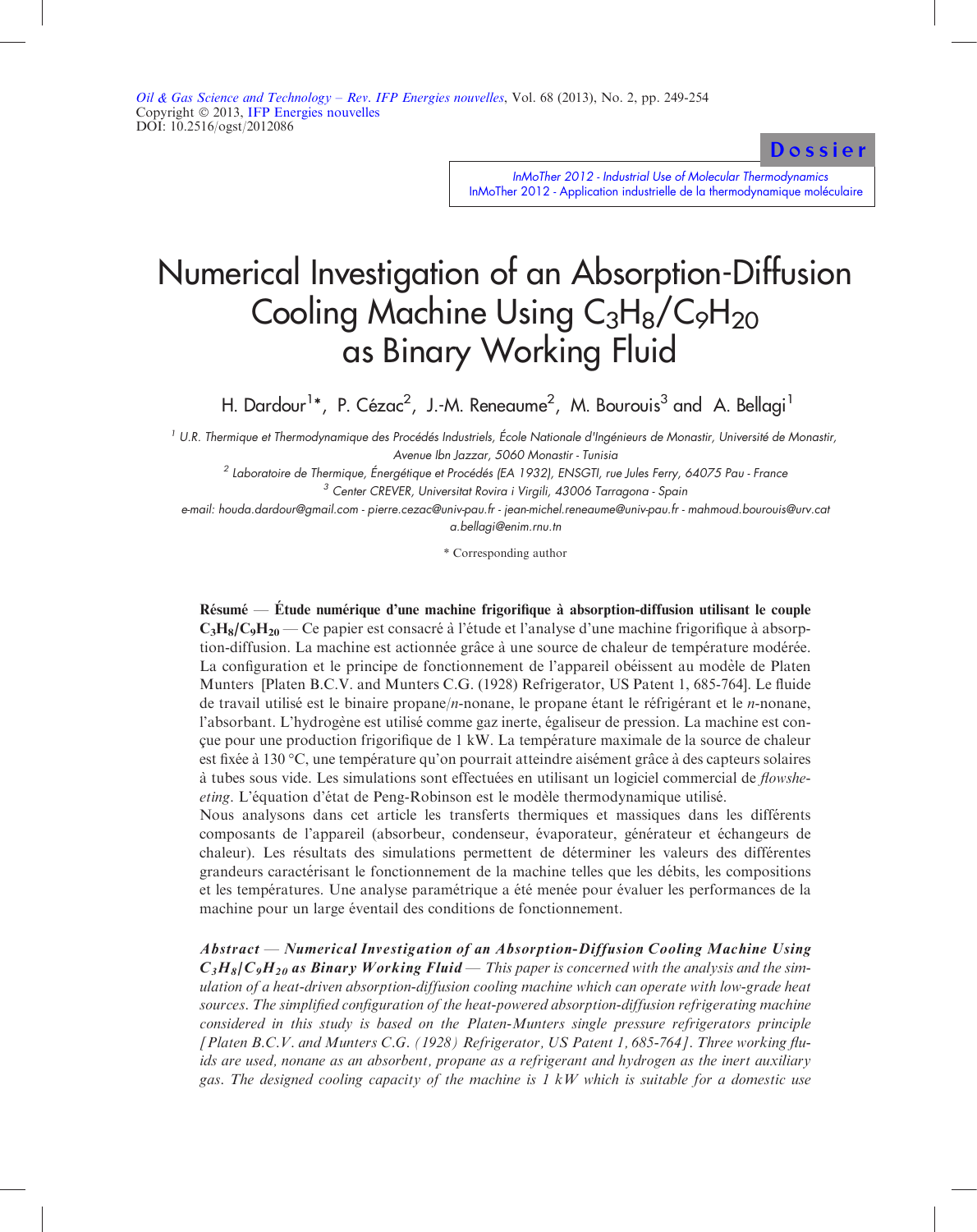[Dossier](http://ogst.ifpenergiesnouvelles.fr/articles/ogst/abs/2013/02/contents/contents.html)

InMoTher 2012 - Industrial Use of Molecular Thermodynamics [InMoTher 2012 - Application industrielle de la thermodynamique moléculaire](http://ogst.ifpenergiesnouvelles.fr/articles/ogst/abs/2013/02/contents/contents.html)

# Numerical Investigation of an Absorption-Diffusion Cooling Machine Using  $C_3H_8/C_9H_{20}$ as Binary Working Fluid

H. Dardour<sup>1</sup>\*, P. Cézac<sup>2</sup>, J.-M. Reneaume<sup>2</sup>, M. Bourouis<sup>3</sup> and A. Bellagi<sup>1</sup>

<sup>1</sup> U.R. Thermique et Thermodynamique des Procédés Industriels, École Nationale d'Ingénieurs de Monastir, Université de Monastir, Avenue Ibn Jazzar, 5060 Monastir - Tunisia

<sup>2</sup> Laboratoire de Thermique, Énergétique et Procédés (EA 1932), ENSGTI, rue Jules Ferry, <sup>64075</sup> Pau - France <sup>3</sup> Center CREVER, Universitat Rovira <sup>i</sup> Virgili, <sup>43006</sup> Tarragona - Spain

e-mail: houda.dardour@gmail.com - <sup>p</sup>ierre.cezac@univ-pau.fr - jean-michel.reneaume@univ-pau.fr - mahmoud.bourouis@urv.cat a.bellagi@enim.rnu.tn

\* Corresponding author

Résumé — Étude numérique d'une machine frigorifique à absorption-diffusion utilisant le couple  $C_3H_8/C_9H_{20}$  — Ce papier est consacré à l'étude et l'analyse d'une machine frigorifique à absorption-diffusion. La machine est actionnée grâce à une source de chaleur de température modérée. La configuration et le principe de fonctionnement de l'appareil obéissent au modèle de Platen Munters [Platen B.C.V. and Munters C.G. (1928) Refrigerator, US Patent 1, 685-764]. Le fluide de travail utilisé est le binaire propane/n-nonane, le propane étant le réfrigérant et le n-nonane, l'absorbant. L'hydrogène est utilisé comme gaz inerte, égaliseur de pression. La machine est conc¸ ue pour une production frigorifique de 1 kW. La tempe´rature maximale de la source de chaleur est fixée à 130 °C, une température qu'on pourrait atteindre aisément grâce à des capteurs solaires à tubes sous vide. Les simulations sont effectuées en utilisant un logiciel commercial de *flowshe*eting. L'équation d'état de Peng-Robinson est le modèle thermodynamique utilisé.

Nous analysons dans cet article les transferts thermiques et massiques dans les différents composants de l'appareil (absorbeur, condenseur, évaporateur, générateur et échangeurs de chaleur). Les résultats des simulations permettent de déterminer les valeurs des différentes grandeurs caractérisant le fonctionnement de la machine telles que les débits, les compositions et les températures. Une analyse paramétrique a été menée pour évaluer les performances de la machine pour un large éventail des conditions de fonctionnement.

Abstract — Numerical Investigation of an Absorption-Diffusion Cooling Machine Using  $C_3H_8/C_9H_{20}$  as Binary Working Fluid — This paper is concerned with the analysis and the simulation of a heat-driven absorption-diffusion cooling machine which can operate with low-grade heat sources. The simplified configuration of the heat-powered absorption-diffusion refrigerating machine considered in this study is based on the Platen-Munters single pressure refrigerators principle [Platen B.C.V. and Munters C.G. (1928) Refrigerator, US Patent 1, 685-764]. Three working fluids are used, nonane as an absorbent, propane as a refrigerant and hydrogen as the inert auxiliary gas. The designed cooling capacity of the machine is  $1 \, kW$  which is suitable for a domestic use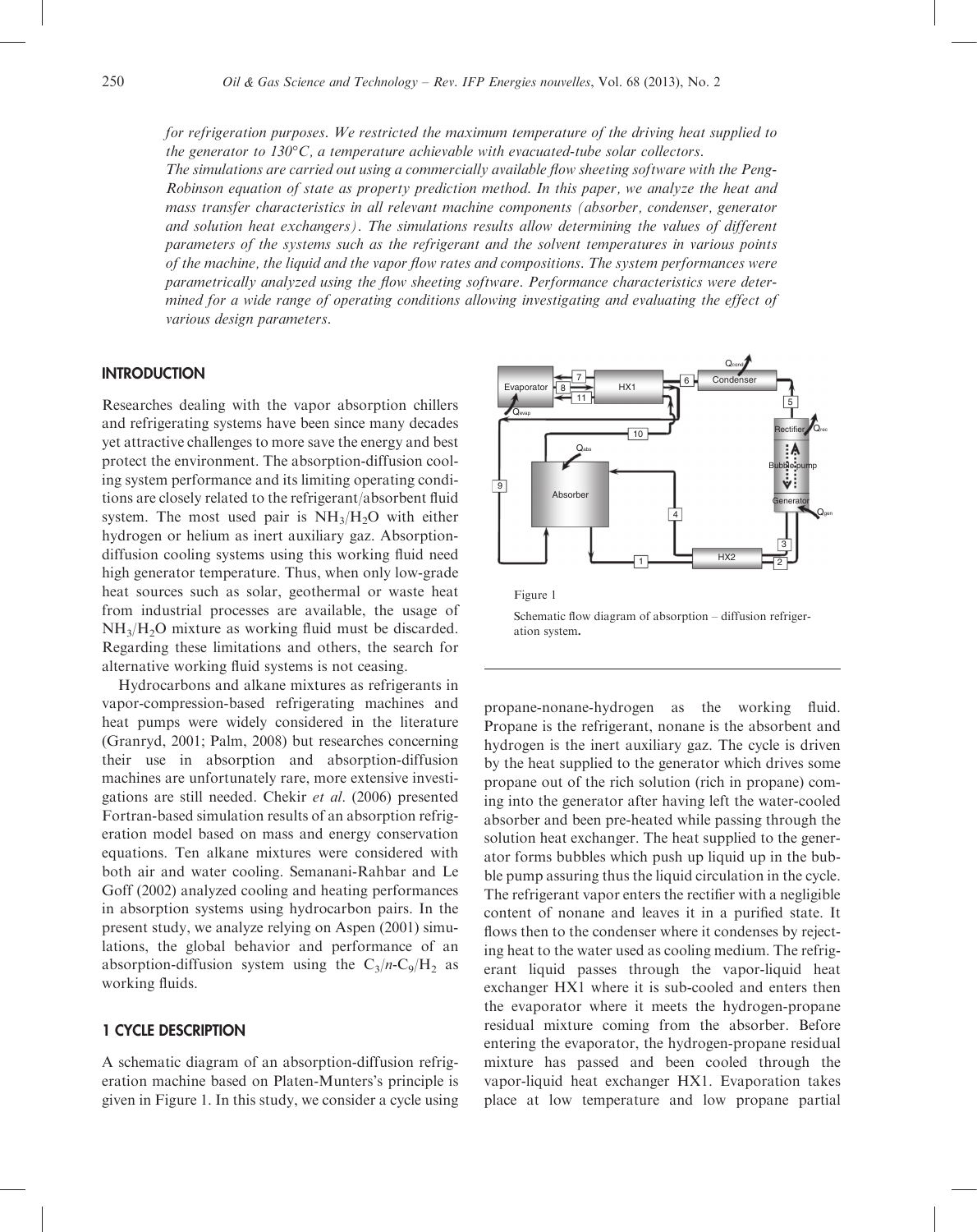for refrigeration purposes. We restricted the maximum temperature of the driving heat supplied to the generator to  $130^{\circ}\text{C}$ , a temperature achievable with evacuated-tube solar collectors.

The simulations are carried out using a commercially available flow sheeting software with the Peng-Robinson equation of state as property prediction method. In this paper, we analyze the heat and mass transfer characteristics in all relevant machine components (absorber, condenser, generator and solution heat exchangers). The simulations results allow determining the values of different parameters of the systems such as the refrigerant and the solvent temperatures in various points of the machine, the liquid and the vapor flow rates and compositions. The system performances were parametrically analyzed using the flow sheeting software. Performance characteristics were determined for a wide range of operating conditions allowing investigating and evaluating the effect of various design parameters.

#### **INTRODUCTION**

Researches dealing with the vapor absorption chillers and refrigerating systems have been since many decades yet attractive challenges to more save the energy and best protect the environment. The absorption-diffusion cooling system performance and its limiting operating conditions are closely related to the refrigerant/absorbent fluid system. The most used pair is  $NH<sub>3</sub>/H<sub>2</sub>O$  with either hydrogen or helium as inert auxiliary gaz. Absorptiondiffusion cooling systems using this working fluid need high generator temperature. Thus, when only low-grade heat sources such as solar, geothermal or waste heat from industrial processes are available, the usage of NH3/H2O mixture as working fluid must be discarded. Regarding these limitations and others, the search for alternative working fluid systems is not ceasing.

Hydrocarbons and alkane mixtures as refrigerants in vapor-compression-based refrigerating machines and heat pumps were widely considered in the literature (Granryd, 2001; Palm, 2008) but researches concerning their use in absorption and absorption-diffusion machines are unfortunately rare, more extensive investigations are still needed. Chekir et al. (2006) presented Fortran-based simulation results of an absorption refrigeration model based on mass and energy conservation equations. Ten alkane mixtures were considered with both air and water cooling. Semanani-Rahbar and Le Goff (2002) analyzed cooling and heating performances in absorption systems using hydrocarbon pairs. In the present study, we analyze relying on Aspen (2001) simulations, the global behavior and performance of an absorption-diffusion system using the  $C_3/n-C_9/H_2$  as working fluids.

#### 1 CYCLE DESCRIPTION

A schematic diagram of an absorption-diffusion refrigeration machine based on Platen-Munters's principle is given in Figure 1. In this study, we consider a cycle using



propane-nonane-hydrogen as the working fluid. Propane is the refrigerant, nonane is the absorbent and hydrogen is the inert auxiliary gaz. The cycle is driven by the heat supplied to the generator which drives some propane out of the rich solution (rich in propane) coming into the generator after having left the water-cooled absorber and been pre-heated while passing through the solution heat exchanger. The heat supplied to the generator forms bubbles which push up liquid up in the bubble pump assuring thus the liquid circulation in the cycle. The refrigerant vapor enters the rectifier with a negligible content of nonane and leaves it in a purified state. It flows then to the condenser where it condenses by rejecting heat to the water used as cooling medium. The refrigerant liquid passes through the vapor-liquid heat exchanger HX1 where it is sub-cooled and enters then the evaporator where it meets the hydrogen-propane residual mixture coming from the absorber. Before entering the evaporator, the hydrogen-propane residual mixture has passed and been cooled through the vapor-liquid heat exchanger HX1. Evaporation takes place at low temperature and low propane partial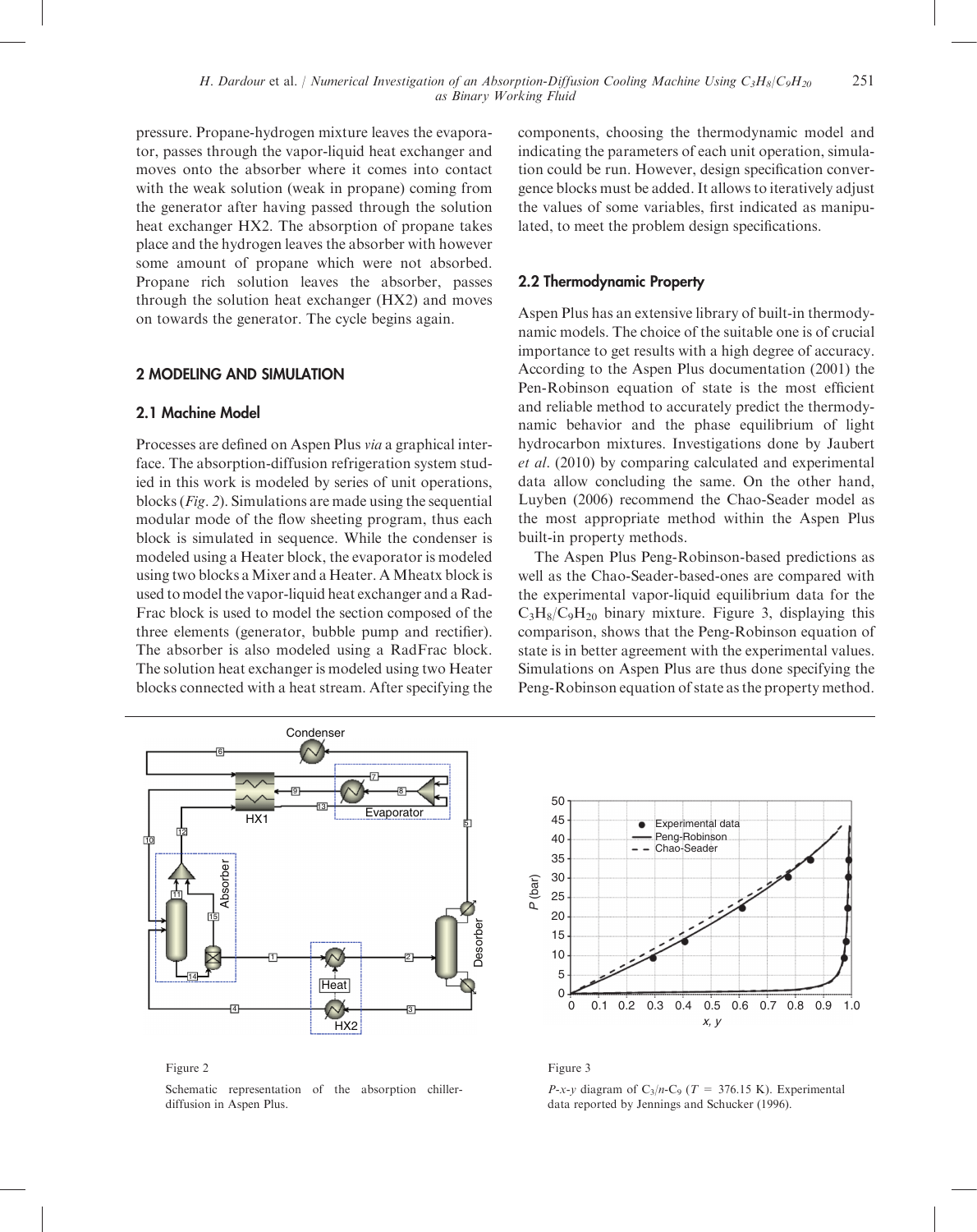pressure. Propane-hydrogen mixture leaves the evaporator, passes through the vapor-liquid heat exchanger and moves onto the absorber where it comes into contact with the weak solution (weak in propane) coming from the generator after having passed through the solution heat exchanger HX2. The absorption of propane takes place and the hydrogen leaves the absorber with however some amount of propane which were not absorbed. Propane rich solution leaves the absorber, passes through the solution heat exchanger (HX2) and moves on towards the generator. The cycle begins again.

#### 2 MODELING AND SIMULATION

#### 2.1 Machine Model

Processes are defined on Aspen Plus via a graphical interface. The absorption-diffusion refrigeration system studied in this work is modeled by series of unit operations, blocks (Fig. 2). Simulations are made using the sequential modular mode of the flow sheeting program, thus each block is simulated in sequence. While the condenser is modeled using a Heater block, the evaporator is modeled using two blocks aMixer and a Heater. AMheatx block is used to model the vapor-liquid heat exchanger and a Rad-Frac block is used to model the section composed of the three elements (generator, bubble pump and rectifier). The absorber is also modeled using a RadFrac block. The solution heat exchanger is modeled using two Heater blocks connected with a heat stream. After specifying the components, choosing the thermodynamic model and indicating the parameters of each unit operation, simulation could be run. However, design specification convergence blocks must be added. It allows to iteratively adjust the values of some variables, first indicated as manipulated, to meet the problem design specifications.

#### 2.2 Thermodynamic Property

Aspen Plus has an extensive library of built-in thermodynamic models. The choice of the suitable one is of crucial importance to get results with a high degree of accuracy. According to the Aspen Plus documentation (2001) the Pen-Robinson equation of state is the most efficient and reliable method to accurately predict the thermodynamic behavior and the phase equilibrium of light hydrocarbon mixtures. Investigations done by Jaubert et al. (2010) by comparing calculated and experimental data allow concluding the same. On the other hand, Luyben (2006) recommend the Chao-Seader model as the most appropriate method within the Aspen Plus built-in property methods.

The Aspen Plus Peng-Robinson-based predictions as well as the Chao-Seader-based-ones are compared with the experimental vapor-liquid equilibrium data for the  $C_3H_8/C_9H_{20}$  binary mixture. Figure 3, displaying this comparison, shows that the Peng-Robinson equation of state is in better agreement with the experimental values. Simulations on Aspen Plus are thus done specifying the Peng-Robinson equation of state as the property method.



Figure 2

Schematic representation of the absorption chillerdiffusion in Aspen Plus.



Figure 3

P-x-y diagram of C<sub>3</sub>/n-C<sub>9</sub> (T = 376.15 K). Experimental data reported by Jennings and Schucker (1996).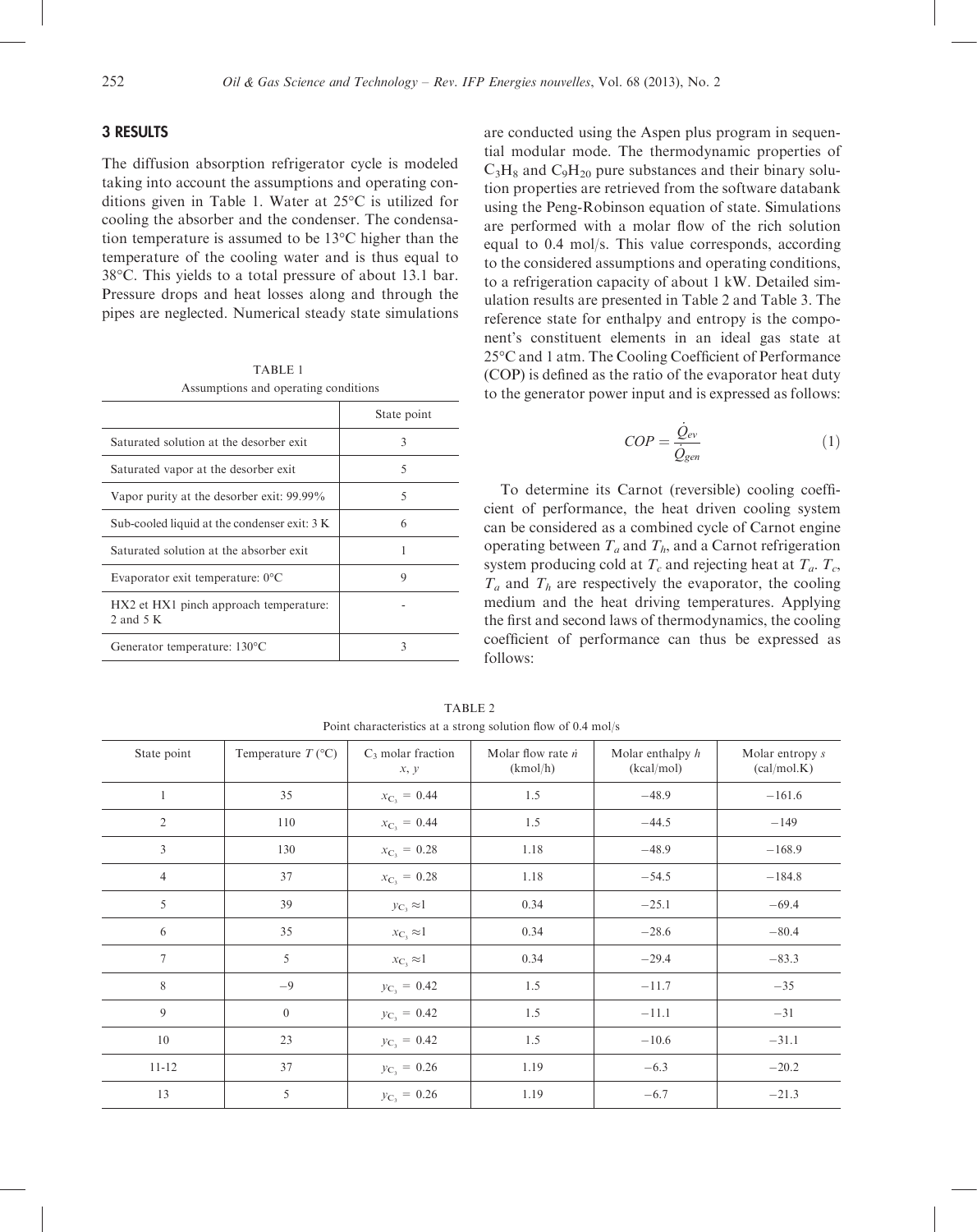#### 3 RESULTS

The diffusion absorption refrigerator cycle is modeled taking into account the assumptions and operating conditions given in Table 1. Water at  $25^{\circ}$ C is utilized for cooling the absorber and the condenser. The condensation temperature is assumed to be  $13^{\circ}$ C higher than the temperature of the cooling water and is thus equal to 38°C. This yields to a total pressure of about 13.1 bar. Pressure drops and heat losses along and through the pipes are neglected. Numerical steady state simulations

TABLE 1 Assumptions and operating conditions

|                                                      | State point |
|------------------------------------------------------|-------------|
| Saturated solution at the desorber exit.             | 3           |
| Saturated vapor at the desorber exit                 | 5           |
| Vapor purity at the desorber exit: 99.99%            | 5           |
| Sub-cooled liquid at the condenser exit: 3 K         | 6           |
| Saturated solution at the absorber exit.             |             |
| Evaporator exit temperature: $0^{\circ}$ C           | 9           |
| HX2 et HX1 pinch approach temperature:<br>2 and $5K$ |             |
| Generator temperature: $130^{\circ}$ C               |             |

are conducted using the Aspen plus program in sequential modular mode. The thermodynamic properties of  $C_3H_8$  and  $C_9H_{20}$  pure substances and their binary solution properties are retrieved from the software databank using the Peng-Robinson equation of state. Simulations are performed with a molar flow of the rich solution equal to 0.4 mol/s. This value corresponds, according to the considered assumptions and operating conditions, to a refrigeration capacity of about 1 kW. Detailed simulation results are presented in Table 2 and Table 3. The reference state for enthalpy and entropy is the component's constituent elements in an ideal gas state at 25C and 1 atm. The Cooling Coefficient of Performance (COP) is defined as the ratio of the evaporator heat duty to the generator power input and is expressed as follows:

$$
COP = \frac{\dot{Q}_{ev}}{\dot{Q}_{gen}}\tag{1}
$$

To determine its Carnot (reversible) cooling coefficient of performance, the heat driven cooling system can be considered as a combined cycle of Carnot engine operating between  $T_a$  and  $T_b$ , and a Carnot refrigeration system producing cold at  $T_c$  and rejecting heat at  $T_a$ .  $T_c$ ,  $T_a$  and  $T_h$  are respectively the evaporator, the cooling medium and the heat driving temperatures. Applying the first and second laws of thermodynamics, the cooling coefficient of performance can thus be expressed as follows:

| State point    | Temperature $T$ (°C) | $C_3$ molar fraction<br>x, y | Molar flow rate $\dot{n}$<br>(kmol/h) | Molar enthalpy $h$<br>(kcal/mol) | Molar entropy s<br>(cal/mol.K) |
|----------------|----------------------|------------------------------|---------------------------------------|----------------------------------|--------------------------------|
| $\mathbf{1}$   | 35                   | $x_{C_3} = 0.44$             | 1.5                                   | $-48.9$                          | $-161.6$                       |
| $\overline{2}$ | 110                  | $x_{C_3} = 0.44$             | 1.5                                   | $-44.5$                          | $-149$                         |
| $\overline{3}$ | 130                  | $x_{C_3} = 0.28$             | 1.18                                  | $-48.9$                          | $-168.9$                       |
| $\overline{4}$ | 37                   | $x_{C_3} = 0.28$             | 1.18                                  | $-54.5$                          | $-184.8$                       |
| 5              | 39                   | $y_{\rm C} \approx 1$        | 0.34                                  | $-25.1$                          | $-69.4$                        |
| 6              | 35                   | $x_{C_3} \approx 1$          | 0.34                                  | $-28.6$                          | $-80.4$                        |
| $\tau$         | 5                    | $x_{C_3} \approx 1$          | 0.34                                  | $-29.4$                          | $-83.3$                        |
| 8              | $-9$                 | $y_{C_3} = 0.42$             | 1.5                                   | $-11.7$                          | $-35$                          |
| 9              | $\overline{0}$       | $y_{C_3} = 0.42$             | 1.5                                   | $-11.1$                          | $-31$                          |
| 10             | 23                   | $y_{C_3} = 0.42$             | 1.5                                   | $-10.6$                          | $-31.1$                        |
| $11 - 12$      | 37                   | $y_{C_3} = 0.26$             | 1.19                                  | $-6.3$                           | $-20.2$                        |
| 13             | 5                    | $y_{C_3} = 0.26$             | 1.19                                  | $-6.7$                           | $-21.3$                        |

TABLE 2 Point characteristics at a strong solution flow of 0.4 mol/s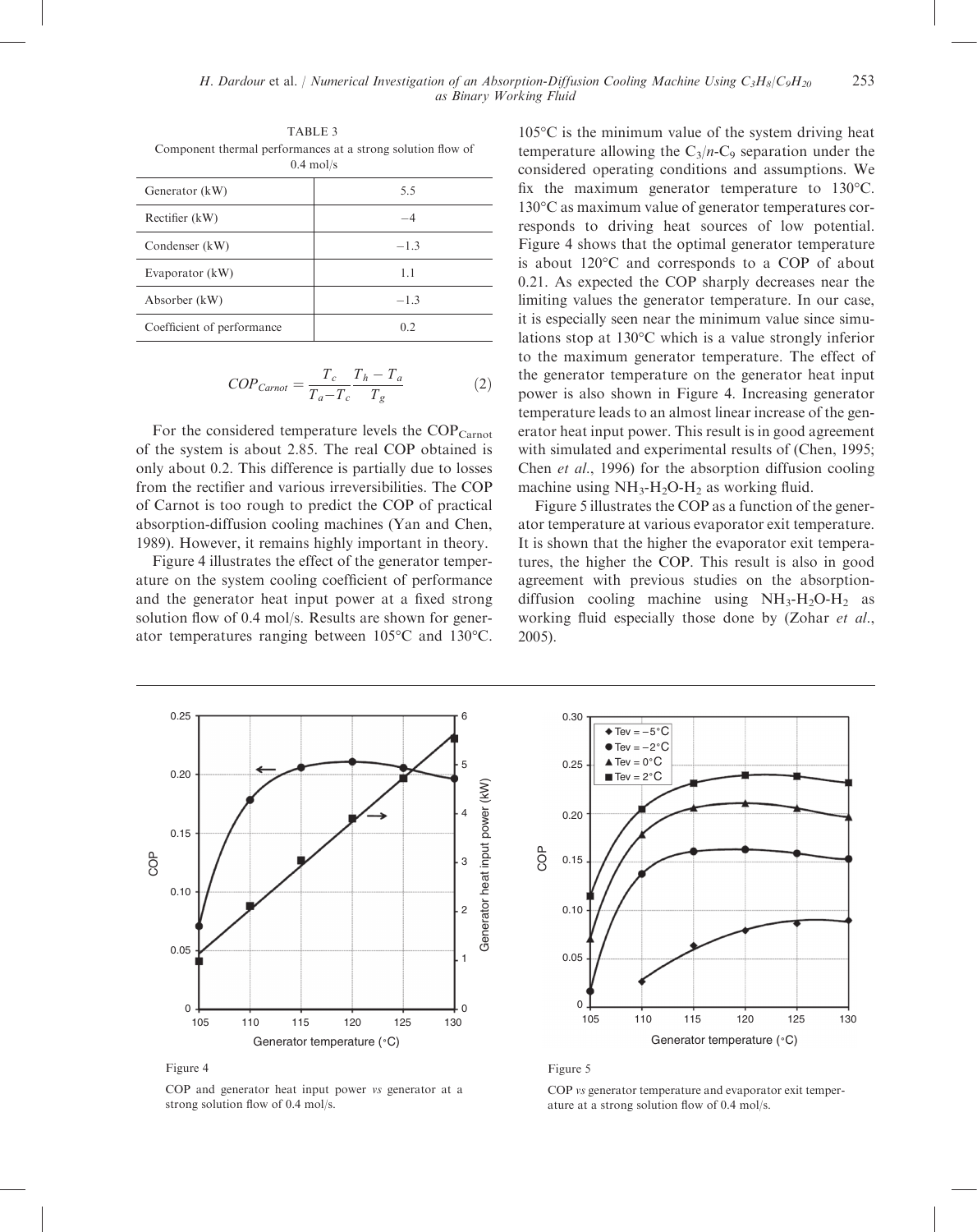TABLE 3 Component thermal performances at a strong solution flow of 0.4 mol/s

| Generator (kW)             | 5.5            |  |  |
|----------------------------|----------------|--|--|
| Rectifier (kW)             |                |  |  |
| Condenser (kW)             | $-1.3$         |  |  |
| Evaporator (kW)            | 1.1            |  |  |
| Absorber (kW)              | $-1.3$         |  |  |
| Coefficient of performance | 0 <sub>2</sub> |  |  |

$$
COP_{Carnot} = \frac{T_c}{T_a - T_c} \frac{T_h - T_a}{T_g} \tag{2}
$$

For the considered temperature levels the COP<sub>Carnot</sub> of the system is about 2.85. The real COP obtained is only about 0.2. This difference is partially due to losses from the rectifier and various irreversibilities. The COP of Carnot is too rough to predict the COP of practical absorption-diffusion cooling machines (Yan and Chen, 1989). However, it remains highly important in theory.

Figure 4 illustrates the effect of the generator temperature on the system cooling coefficient of performance and the generator heat input power at a fixed strong solution flow of 0.4 mol/s. Results are shown for generator temperatures ranging between  $105^{\circ}$ C and  $130^{\circ}$ C.  $105^{\circ}$ C is the minimum value of the system driving heat temperature allowing the  $C_3/n-C_9$  separation under the considered operating conditions and assumptions. We fix the maximum generator temperature to  $130^{\circ}$ C. 130 °C as maximum value of generator temperatures corresponds to driving heat sources of low potential. Figure 4 shows that the optimal generator temperature is about  $120^{\circ}$ C and corresponds to a COP of about 0.21. As expected the COP sharply decreases near the limiting values the generator temperature. In our case, it is especially seen near the minimum value since simulations stop at  $130^{\circ}$ C which is a value strongly inferior to the maximum generator temperature. The effect of the generator temperature on the generator heat input power is also shown in Figure 4. Increasing generator temperature leads to an almost linear increase of the generator heat input power. This result is in good agreement with simulated and experimental results of (Chen, 1995; Chen et al., 1996) for the absorption diffusion cooling machine using  $NH_3-H_2O-H_2$  as working fluid.

Figure 5 illustrates the COP as a function of the generator temperature at various evaporator exit temperature. It is shown that the higher the evaporator exit temperatures, the higher the COP. This result is also in good agreement with previous studies on the absorptiondiffusion cooling machine using  $NH_3-H_2O-H_2$  as working fluid especially those done by (Zohar et al., 2005).



Figure 4

COP and generator heat input power vs generator at a strong solution flow of 0.4 mol/s.



Figure 5

COP vs generator temperature and evaporator exit temperature at a strong solution flow of 0.4 mol/s.